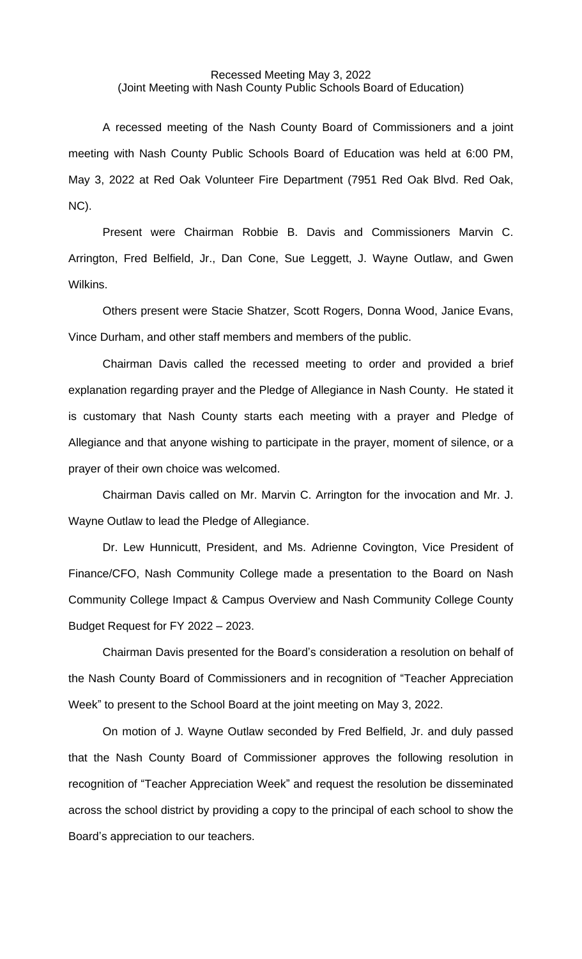## Recessed Meeting May 3, 2022 (Joint Meeting with Nash County Public Schools Board of Education)

A recessed meeting of the Nash County Board of Commissioners and a joint meeting with Nash County Public Schools Board of Education was held at 6:00 PM, May 3, 2022 at Red Oak Volunteer Fire Department (7951 Red Oak Blvd. Red Oak, NC).

Present were Chairman Robbie B. Davis and Commissioners Marvin C. Arrington, Fred Belfield, Jr., Dan Cone, Sue Leggett, J. Wayne Outlaw, and Gwen Wilkins.

Others present were Stacie Shatzer, Scott Rogers, Donna Wood, Janice Evans, Vince Durham, and other staff members and members of the public.

Chairman Davis called the recessed meeting to order and provided a brief explanation regarding prayer and the Pledge of Allegiance in Nash County. He stated it is customary that Nash County starts each meeting with a prayer and Pledge of Allegiance and that anyone wishing to participate in the prayer, moment of silence, or a prayer of their own choice was welcomed.

Chairman Davis called on Mr. Marvin C. Arrington for the invocation and Mr. J. Wayne Outlaw to lead the Pledge of Allegiance.

Dr. Lew Hunnicutt, President, and Ms. Adrienne Covington, Vice President of Finance/CFO, Nash Community College made a presentation to the Board on Nash Community College Impact & Campus Overview and Nash Community College County Budget Request for FY 2022 – 2023.

Chairman Davis presented for the Board's consideration a resolution on behalf of the Nash County Board of Commissioners and in recognition of "Teacher Appreciation Week" to present to the School Board at the joint meeting on May 3, 2022.

On motion of J. Wayne Outlaw seconded by Fred Belfield, Jr. and duly passed that the Nash County Board of Commissioner approves the following resolution in recognition of "Teacher Appreciation Week" and request the resolution be disseminated across the school district by providing a copy to the principal of each school to show the Board's appreciation to our teachers.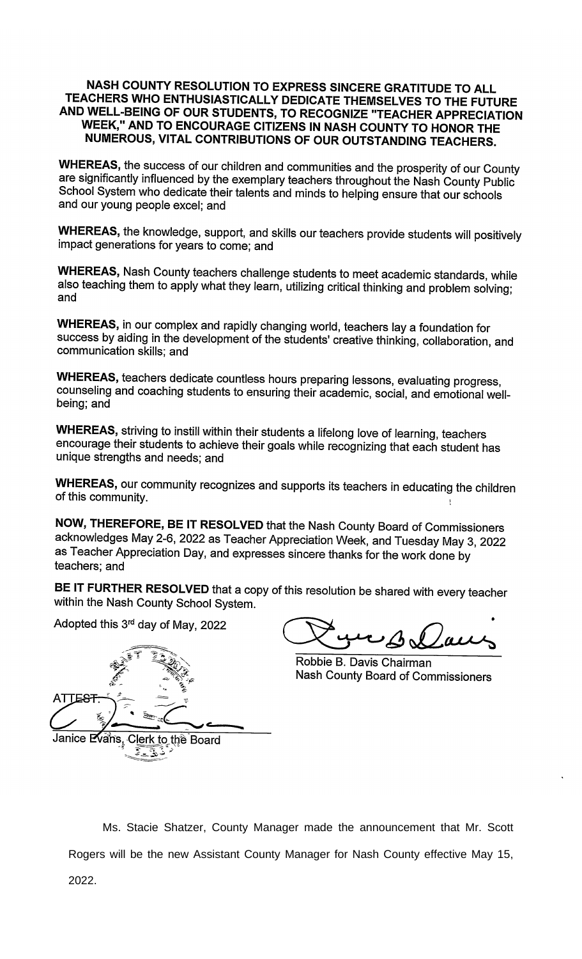## NASH COUNTY RESOLUTION TO EXPRESS SINCERE GRATITUDE TO ALL TEACHERS WHO ENTHUSIASTICALLY DEDICATE THEMSELVES TO THE FUTURE AND WELL-BEING OF OUR STUDENTS, TO RECOGNIZE "TEACHER APPRECIATION WEEK," AND TO ENCOURAGE CITIZENS IN NASH COUNTY TO HONOR THE NUMEROUS, VITAL CONTRIBUTIONS OF OUR OUTSTANDING TEACHERS.

WHEREAS, the success of our children and communities and the prosperity of our County are significantly influenced by the exemplary teachers throughout the Nash County Public School System who dedicate their talents and minds to helping ensure that our schools and our young people excel; and

WHEREAS, the knowledge, support, and skills our teachers provide students will positively impact generations for years to come; and

WHEREAS, Nash County teachers challenge students to meet academic standards, while also teaching them to apply what they learn, utilizing critical thinking and problem solving; and

WHEREAS, in our complex and rapidly changing world, teachers lay a foundation for success by aiding in the development of the students' creative thinking, collaboration, and communication skills; and

WHEREAS, teachers dedicate countless hours preparing lessons, evaluating progress, counseling and coaching students to ensuring their academic, social, and emotional wellbeing; and

WHEREAS, striving to instill within their students a lifelong love of learning, teachers encourage their students to achieve their goals while recognizing that each student has unique strengths and needs; and

WHEREAS, our community recognizes and supports its teachers in educating the children of this community.

NOW, THEREFORE, BE IT RESOLVED that the Nash County Board of Commissioners acknowledges May 2-6, 2022 as Teacher Appreciation Week, and Tuesday May 3, 2022 as Teacher Appreciation Day, and expresses sincere thanks for the work done by teachers; and

BE IT FURTHER RESOLVED that a copy of this resolution be shared with every teacher within the Nash County School System.

Adopted this 3<sup>rd</sup> day of May, 2022

ATTE<del>ST</del> Janice Evans, Clerk to the Board ن پيچ<br>پ

Robbie B. Davis Chairman Nash County Board of Commissioners

Ms. Stacie Shatzer, County Manager made the announcement that Mr. Scott Rogers will be the new Assistant County Manager for Nash County effective May 15, 2022.